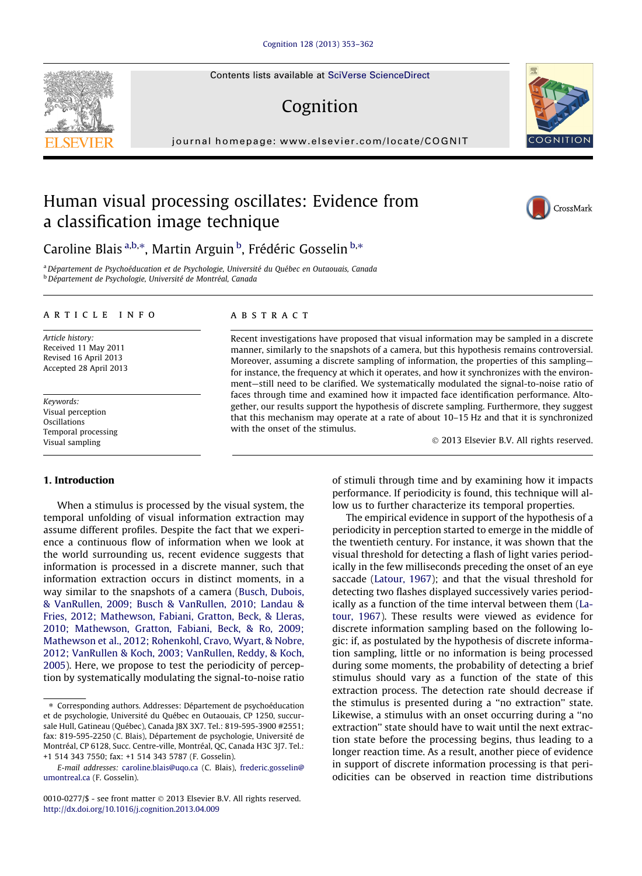Contents lists available at [SciVerse ScienceDirect](http://www.sciencedirect.com/science/journal/00100277)

# Cognition

journal homepage: [www.elsevier.com/locate/COGNIT](http://www.elsevier.com/locate/COGNIT)

## Human visual processing oscillates: Evidence from a classification image technique

Caroline Blais <sup>a,b,\*</sup>, Martin Arguin <sup>b</sup>, Frédéric Gosselin <sup>b,\*</sup>

<sup>a</sup> Département de Psychoéducation et de Psychologie, Université du Québec en Outaouais, Canada b Département de Psychologie, Université de Montréal, Canada

#### article info

Article history: Received 11 May 2011 Revised 16 April 2013 Accepted 28 April 2013

Keywords: Visual perception Oscillations Temporal processing Visual sampling

## 1. Introduction

When a stimulus is processed by the visual system, the temporal unfolding of visual information extraction may assume different profiles. Despite the fact that we experience a continuous flow of information when we look at the world surrounding us, recent evidence suggests that information is processed in a discrete manner, such that information extraction occurs in distinct moments, in a way similar to the snapshots of a camera ([Busch, Dubois,](#page-8-0) [& VanRullen, 2009; Busch & VanRullen, 2010; Landau &](#page-8-0) [Fries, 2012; Mathewson, Fabiani, Gratton, Beck, & Lleras,](#page-8-0) [2010; Mathewson, Gratton, Fabiani, Beck, & Ro, 2009;](#page-8-0) [Mathewson et al., 2012; Rohenkohl, Cravo, Wyart, & Nobre,](#page-8-0) [2012; VanRullen & Koch, 2003; VanRullen, Reddy, & Koch,](#page-8-0) [2005\)](#page-8-0). Here, we propose to test the periodicity of perception by systematically modulating the signal-to-noise ratio

## **ABSTRACT**

Recent investigations have proposed that visual information may be sampled in a discrete manner, similarly to the snapshots of a camera, but this hypothesis remains controversial. Moreover, assuming a discrete sampling of information, the properties of this sampling for instance, the frequency at which it operates, and how it synchronizes with the environment—still need to be clarified. We systematically modulated the signal-to-noise ratio of faces through time and examined how it impacted face identification performance. Altogether, our results support the hypothesis of discrete sampling. Furthermore, they suggest that this mechanism may operate at a rate of about 10–15 Hz and that it is synchronized with the onset of the stimulus.

- 2013 Elsevier B.V. All rights reserved.

of stimuli through time and by examining how it impacts performance. If periodicity is found, this technique will allow us to further characterize its temporal properties.

The empirical evidence in support of the hypothesis of a periodicity in perception started to emerge in the middle of the twentieth century. For instance, it was shown that the visual threshold for detecting a flash of light varies periodically in the few milliseconds preceding the onset of an eye saccade ([Latour, 1967](#page-9-0)); and that the visual threshold for detecting two flashes displayed successively varies periodically as a function of the time interval between them [\(La](#page-9-0)[tour, 1967](#page-9-0)). These results were viewed as evidence for discrete information sampling based on the following logic: if, as postulated by the hypothesis of discrete information sampling, little or no information is being processed during some moments, the probability of detecting a brief stimulus should vary as a function of the state of this extraction process. The detection rate should decrease if the stimulus is presented during a ''no extraction'' state. Likewise, a stimulus with an onset occurring during a ''no extraction'' state should have to wait until the next extraction state before the processing begins, thus leading to a longer reaction time. As a result, another piece of evidence in support of discrete information processing is that periodicities can be observed in reaction time distributions







<sup>⇑</sup> Corresponding authors. Addresses: Département de psychoéducation et de psychologie, Université du Québec en Outaouais, CP 1250, succursale Hull, Gatineau (Québec), Canada J8X 3X7. Tel.: 819-595-3900 #2551; fax: 819-595-2250 (C. Blais), Département de psychologie, Université de Montréal, CP 6128, Succ. Centre-ville, Montréal, QC, Canada H3C 3J7. Tel.: +1 514 343 7550; fax: +1 514 343 5787 (F. Gosselin).

E-mail addresses: [caroline.blais@uqo.ca](mailto:caroline.blais@uqo.ca) (C. Blais), [frederic.gosselin@](mailto:frederic.gosselin@umontreal.ca) [umontreal.ca](mailto:frederic.gosselin@umontreal.ca) (F. Gosselin).

<sup>0010-0277/\$ -</sup> see front matter © 2013 Elsevier B.V. All rights reserved. <http://dx.doi.org/10.1016/j.cognition.2013.04.009>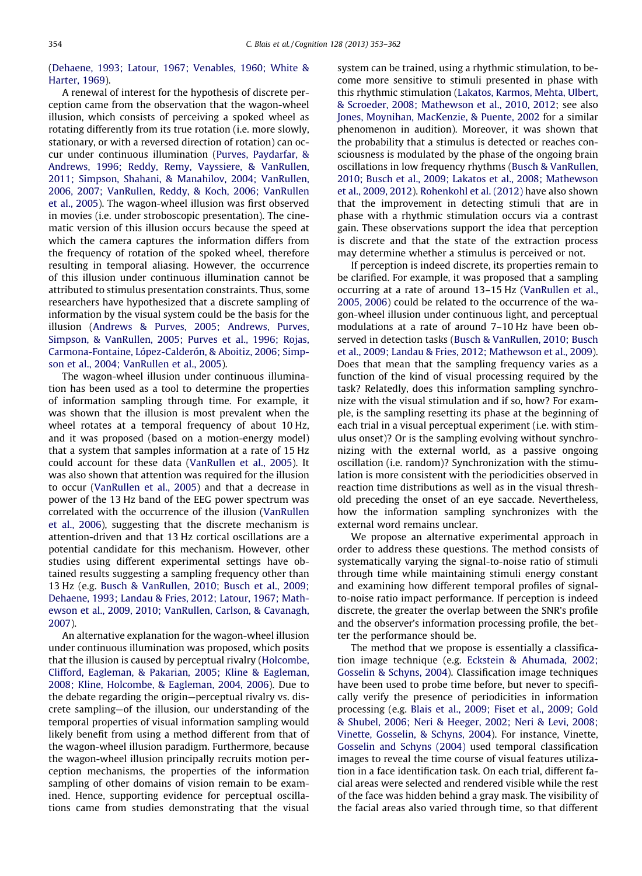[\(Dehaene, 1993; Latour, 1967; Venables, 1960; White &](#page-8-0) [Harter, 1969](#page-8-0)).

A renewal of interest for the hypothesis of discrete perception came from the observation that the wagon-wheel illusion, which consists of perceiving a spoked wheel as rotating differently from its true rotation (i.e. more slowly, stationary, or with a reversed direction of rotation) can occur under continuous illumination ([Purves, Paydarfar, &](#page-9-0) [Andrews, 1996; Reddy, Remy, Vayssiere, & VanRullen,](#page-9-0) [2011; Simpson, Shahani, & Manahilov, 2004; VanRullen,](#page-9-0) [2006, 2007; VanRullen, Reddy, & Koch, 2006; VanRullen](#page-9-0) [et al., 2005](#page-9-0)). The wagon-wheel illusion was first observed in movies (i.e. under stroboscopic presentation). The cinematic version of this illusion occurs because the speed at which the camera captures the information differs from the frequency of rotation of the spoked wheel, therefore resulting in temporal aliasing. However, the occurrence of this illusion under continuous illumination cannot be attributed to stimulus presentation constraints. Thus, some researchers have hypothesized that a discrete sampling of information by the visual system could be the basis for the illusion ([Andrews & Purves, 2005; Andrews, Purves,](#page-8-0) [Simpson, & VanRullen, 2005; Purves et al., 1996; Rojas,](#page-8-0) [Carmona-Fontaine, López-Calderón, & Aboitiz, 2006; Simp](#page-8-0)[son et al., 2004; VanRullen et al., 2005](#page-8-0)).

The wagon-wheel illusion under continuous illumination has been used as a tool to determine the properties of information sampling through time. For example, it was shown that the illusion is most prevalent when the wheel rotates at a temporal frequency of about 10 Hz, and it was proposed (based on a motion-energy model) that a system that samples information at a rate of 15 Hz could account for these data ([VanRullen et al., 2005\)](#page-9-0). It was also shown that attention was required for the illusion to occur [\(VanRullen et al., 2005\)](#page-9-0) and that a decrease in power of the 13 Hz band of the EEG power spectrum was correlated with the occurrence of the illusion ([VanRullen](#page-9-0) [et al., 2006\)](#page-9-0), suggesting that the discrete mechanism is attention-driven and that 13 Hz cortical oscillations are a potential candidate for this mechanism. However, other studies using different experimental settings have obtained results suggesting a sampling frequency other than 13 Hz (e.g. [Busch & VanRullen, 2010; Busch et al., 2009;](#page-8-0) [Dehaene, 1993; Landau & Fries, 2012; Latour, 1967; Math](#page-8-0)[ewson et al., 2009, 2010; VanRullen, Carlson, & Cavanagh,](#page-8-0) [2007](#page-8-0)).

An alternative explanation for the wagon-wheel illusion under continuous illumination was proposed, which posits that the illusion is caused by perceptual rivalry [\(Holcombe,](#page-9-0) [Clifford, Eagleman, & Pakarian, 2005; Kline & Eagleman,](#page-9-0) [2008; Kline, Holcombe, & Eagleman, 2004, 2006](#page-9-0)). Due to the debate regarding the origin—perceptual rivalry vs. discrete sampling—of the illusion, our understanding of the temporal properties of visual information sampling would likely benefit from using a method different from that of the wagon-wheel illusion paradigm. Furthermore, because the wagon-wheel illusion principally recruits motion perception mechanisms, the properties of the information sampling of other domains of vision remain to be examined. Hence, supporting evidence for perceptual oscillations came from studies demonstrating that the visual

system can be trained, using a rhythmic stimulation, to become more sensitive to stimuli presented in phase with this rhythmic stimulation [\(Lakatos, Karmos, Mehta, Ulbert,](#page-9-0) [& Scroeder, 2008; Mathewson et al., 2010, 2012](#page-9-0); see also [Jones, Moynihan, MacKenzie, & Puente, 2002](#page-9-0) for a similar phenomenon in audition). Moreover, it was shown that the probability that a stimulus is detected or reaches consciousness is modulated by the phase of the ongoing brain oscillations in low frequency rhythms [\(Busch & VanRullen,](#page-8-0) [2010; Busch et al., 2009; Lakatos et al., 2008; Mathewson](#page-8-0) [et al., 2009, 2012\)](#page-8-0). [Rohenkohl et al. \(2012\)](#page-9-0) have also shown that the improvement in detecting stimuli that are in phase with a rhythmic stimulation occurs via a contrast gain. These observations support the idea that perception is discrete and that the state of the extraction process may determine whether a stimulus is perceived or not.

If perception is indeed discrete, its properties remain to be clarified. For example, it was proposed that a sampling occurring at a rate of around 13–15 Hz [\(VanRullen et al.,](#page-9-0) [2005, 2006\)](#page-9-0) could be related to the occurrence of the wagon-wheel illusion under continuous light, and perceptual modulations at a rate of around 7–10 Hz have been observed in detection tasks [\(Busch & VanRullen, 2010; Busch](#page-8-0) [et al., 2009; Landau & Fries, 2012; Mathewson et al., 2009](#page-8-0)). Does that mean that the sampling frequency varies as a function of the kind of visual processing required by the task? Relatedly, does this information sampling synchronize with the visual stimulation and if so, how? For example, is the sampling resetting its phase at the beginning of each trial in a visual perceptual experiment (i.e. with stimulus onset)? Or is the sampling evolving without synchronizing with the external world, as a passive ongoing oscillation (i.e. random)? Synchronization with the stimulation is more consistent with the periodicities observed in reaction time distributions as well as in the visual threshold preceding the onset of an eye saccade. Nevertheless, how the information sampling synchronizes with the external word remains unclear.

We propose an alternative experimental approach in order to address these questions. The method consists of systematically varying the signal-to-noise ratio of stimuli through time while maintaining stimuli energy constant and examining how different temporal profiles of signalto-noise ratio impact performance. If perception is indeed discrete, the greater the overlap between the SNR's profile and the observer's information processing profile, the better the performance should be.

The method that we propose is essentially a classification image technique (e.g. [Eckstein & Ahumada, 2002;](#page-9-0) [Gosselin & Schyns, 2004\)](#page-9-0). Classification image techniques have been used to probe time before, but never to specifically verify the presence of periodicities in information processing (e.g. [Blais et al., 2009; Fiset et al., 2009; Gold](#page-8-0) [& Shubel, 2006; Neri & Heeger, 2002; Neri & Levi, 2008;](#page-8-0) [Vinette, Gosselin, & Schyns, 2004\)](#page-8-0). For instance, Vinette, [Gosselin and Schyns \(2004\)](#page-9-0) used temporal classification images to reveal the time course of visual features utilization in a face identification task. On each trial, different facial areas were selected and rendered visible while the rest of the face was hidden behind a gray mask. The visibility of the facial areas also varied through time, so that different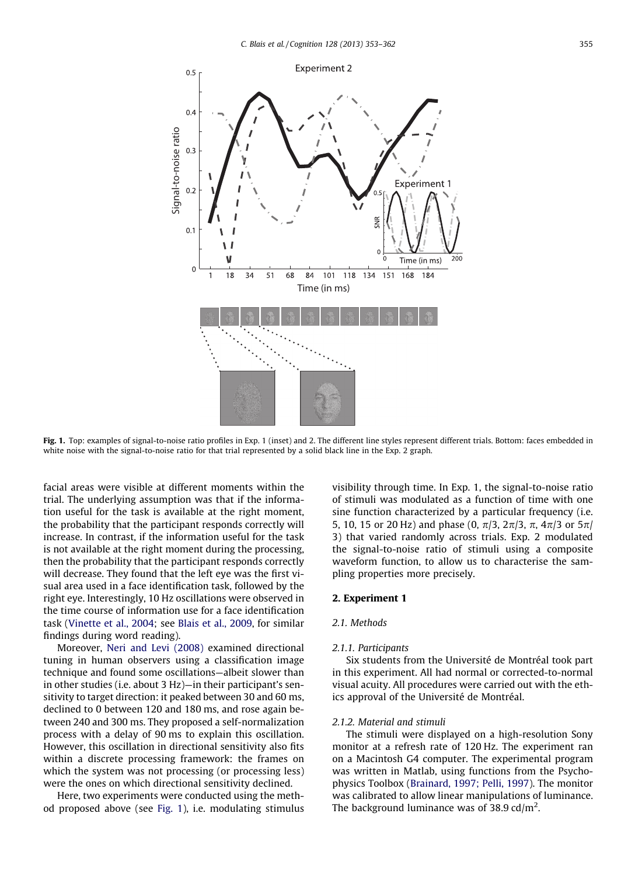

Fig. 1. Top: examples of signal-to-noise ratio profiles in Exp. 1 (inset) and 2. The different line styles represent different trials. Bottom: faces embedded in white noise with the signal-to-noise ratio for that trial represented by a solid black line in the Exp. 2 graph.

facial areas were visible at different moments within the trial. The underlying assumption was that if the information useful for the task is available at the right moment, the probability that the participant responds correctly will increase. In contrast, if the information useful for the task is not available at the right moment during the processing, then the probability that the participant responds correctly will decrease. They found that the left eye was the first visual area used in a face identification task, followed by the right eye. Interestingly, 10 Hz oscillations were observed in the time course of information use for a face identification task [\(Vinette et al., 2004;](#page-9-0) see [Blais et al., 2009,](#page-8-0) for similar findings during word reading).

Moreover, [Neri and Levi \(2008\)](#page-9-0) examined directional tuning in human observers using a classification image technique and found some oscillations—albeit slower than in other studies (i.e. about 3 Hz)—in their participant's sensitivity to target direction: it peaked between 30 and 60 ms, declined to 0 between 120 and 180 ms, and rose again between 240 and 300 ms. They proposed a self-normalization process with a delay of 90 ms to explain this oscillation. However, this oscillation in directional sensitivity also fits within a discrete processing framework: the frames on which the system was not processing (or processing less) were the ones on which directional sensitivity declined.

Here, two experiments were conducted using the method proposed above (see Fig. 1), i.e. modulating stimulus visibility through time. In Exp. 1, the signal-to-noise ratio of stimuli was modulated as a function of time with one sine function characterized by a particular frequency (i.e. 5, 10, 15 or 20 Hz) and phase (0,  $\pi/3$ ,  $2\pi/3$ ,  $\pi$ ,  $4\pi/3$  or  $5\pi/3$ 3) that varied randomly across trials. Exp. 2 modulated the signal-to-noise ratio of stimuli using a composite waveform function, to allow us to characterise the sampling properties more precisely.

#### 2. Experiment 1

#### 2.1. Methods

#### 2.1.1. Participants

Six students from the Université de Montréal took part in this experiment. All had normal or corrected-to-normal visual acuity. All procedures were carried out with the ethics approval of the Université de Montréal.

## 2.1.2. Material and stimuli

The stimuli were displayed on a high-resolution Sony monitor at a refresh rate of 120 Hz. The experiment ran on a Macintosh G4 computer. The experimental program was written in Matlab, using functions from the Psychophysics Toolbox [\(Brainard, 1997; Pelli, 1997\)](#page-8-0). The monitor was calibrated to allow linear manipulations of luminance. The background luminance was of 38.9 cd/m<sup>2</sup>.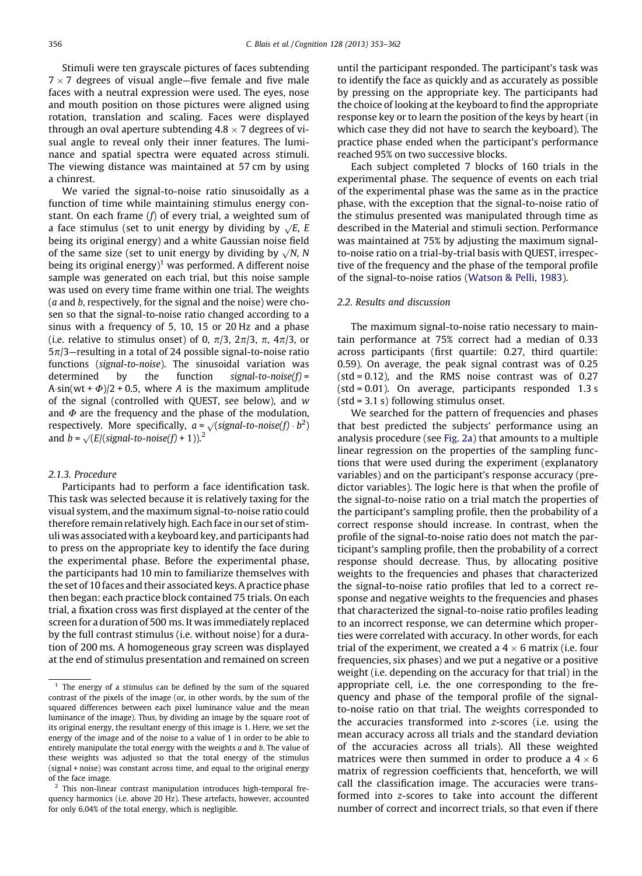Stimuli were ten grayscale pictures of faces subtending  $7\times7$  degrees of visual angle—five female and five male faces with a neutral expression were used. The eyes, nose and mouth position on those pictures were aligned using rotation, translation and scaling. Faces were displayed through an oval aperture subtending 4.8  $\times$  7 degrees of visual angle to reveal only their inner features. The luminance and spatial spectra were equated across stimuli. The viewing distance was maintained at 57 cm by using a chinrest.

We varied the signal-to-noise ratio sinusoidally as a function of time while maintaining stimulus energy constant. On each frame (f) of every trial, a weighted sum of a face stimulus (set to unit energy by dividing by  $\sqrt{E}$ , E being its original energy) and a white Gaussian noise field of the same size (set to unit energy by dividing by  $\sqrt{N}$ , N being its original energy)<sup>1</sup> was performed. A different noise sample was generated on each trial, but this noise sample was used on every time frame within one trial. The weights  $(a$  and  $b$ , respectively, for the signal and the noise) were chosen so that the signal-to-noise ratio changed according to a sinus with a frequency of 5, 10, 15 or 20 Hz and a phase (i.e. relative to stimulus onset) of 0,  $\pi/3$ ,  $2\pi/3$ ,  $\pi$ ,  $4\pi/3$ , or  $5\pi/3$ —resulting in a total of 24 possible signal-to-noise ratio functions (signal-to-noise). The sinusoidal variation was determined by the function signal-to-noise(f) = A $\sin(wt + \Phi)/2 + 0.5$ , where A is the maximum amplitude of the signal (controlled with QUEST, see below), and w and  $\Phi$  are the frequency and the phase of the modulation, respectively. More specifically,  $a = \sqrt{\text{signal-to-noise}(f) \cdot b^2}$ and  $b = \sqrt{E/(signal-to-noise(f) + 1)})^2$ .

## 2.1.3. Procedure

Participants had to perform a face identification task. This task was selected because it is relatively taxing for the visual system, and the maximum signal-to-noise ratio could therefore remain relatively high. Each face in our set of stimuli was associated with a keyboard key, and participants had to press on the appropriate key to identify the face during the experimental phase. Before the experimental phase, the participants had 10 min to familiarize themselves with the set of 10 faces and their associated keys. A practice phase then began: each practice block contained 75 trials. On each trial, a fixation cross was first displayed at the center of the screen for a duration of 500 ms. It was immediately replaced by the full contrast stimulus (i.e. without noise) for a duration of 200 ms. A homogeneous gray screen was displayed at the end of stimulus presentation and remained on screen until the participant responded. The participant's task was to identify the face as quickly and as accurately as possible by pressing on the appropriate key. The participants had the choice of looking at the keyboard to find the appropriate response key or to learn the position of the keys by heart (in which case they did not have to search the keyboard). The practice phase ended when the participant's performance reached 95% on two successive blocks.

Each subject completed 7 blocks of 160 trials in the experimental phase. The sequence of events on each trial of the experimental phase was the same as in the practice phase, with the exception that the signal-to-noise ratio of the stimulus presented was manipulated through time as described in the Material and stimuli section. Performance was maintained at 75% by adjusting the maximum signalto-noise ratio on a trial-by-trial basis with QUEST, irrespective of the frequency and the phase of the temporal profile of the signal-to-noise ratios [\(Watson & Pelli, 1983](#page-9-0)).

#### 2.2. Results and discussion

The maximum signal-to-noise ratio necessary to maintain performance at 75% correct had a median of 0.33 across participants (first quartile: 0.27, third quartile: 0.59). On average, the peak signal contrast was of 0.25  $(stat = 0.12)$ , and the RMS noise contrast was of 0.27  $(stat = 0.01)$ . On average, participants responded 1.3 s (std = 3.1 s) following stimulus onset.

We searched for the pattern of frequencies and phases that best predicted the subjects' performance using an analysis procedure (see [Fig. 2a\)](#page-4-0) that amounts to a multiple linear regression on the properties of the sampling functions that were used during the experiment (explanatory variables) and on the participant's response accuracy (predictor variables). The logic here is that when the profile of the signal-to-noise ratio on a trial match the properties of the participant's sampling profile, then the probability of a correct response should increase. In contrast, when the profile of the signal-to-noise ratio does not match the participant's sampling profile, then the probability of a correct response should decrease. Thus, by allocating positive weights to the frequencies and phases that characterized the signal-to-noise ratio profiles that led to a correct response and negative weights to the frequencies and phases that characterized the signal-to-noise ratio profiles leading to an incorrect response, we can determine which properties were correlated with accuracy. In other words, for each trial of the experiment, we created a 4  $\times$  6 matrix (i.e. four frequencies, six phases) and we put a negative or a positive weight (i.e. depending on the accuracy for that trial) in the appropriate cell, i.e. the one corresponding to the frequency and phase of the temporal profile of the signalto-noise ratio on that trial. The weights corresponded to the accuracies transformed into z-scores (i.e. using the mean accuracy across all trials and the standard deviation of the accuracies across all trials). All these weighted matrices were then summed in order to produce a  $4 \times 6$ matrix of regression coefficients that, henceforth, we will call the classification image. The accuracies were transformed into z-scores to take into account the different number of correct and incorrect trials, so that even if there

<sup>&</sup>lt;sup>1</sup> The energy of a stimulus can be defined by the sum of the squared contrast of the pixels of the image (or, in other words, by the sum of the squared differences between each pixel luminance value and the mean luminance of the image). Thus, by dividing an image by the square root of its original energy, the resultant energy of this image is 1. Here, we set the energy of the image and of the noise to a value of 1 in order to be able to entirely manipulate the total energy with the weights  $a$  and  $b$ . The value of these weights was adjusted so that the total energy of the stimulus (signal + noise) was constant across time, and equal to the original energy of the face image.

 $2$  This non-linear contrast manipulation introduces high-temporal frequency harmonics (i.e. above 20 Hz). These artefacts, however, accounted for only 6.04% of the total energy, which is negligible.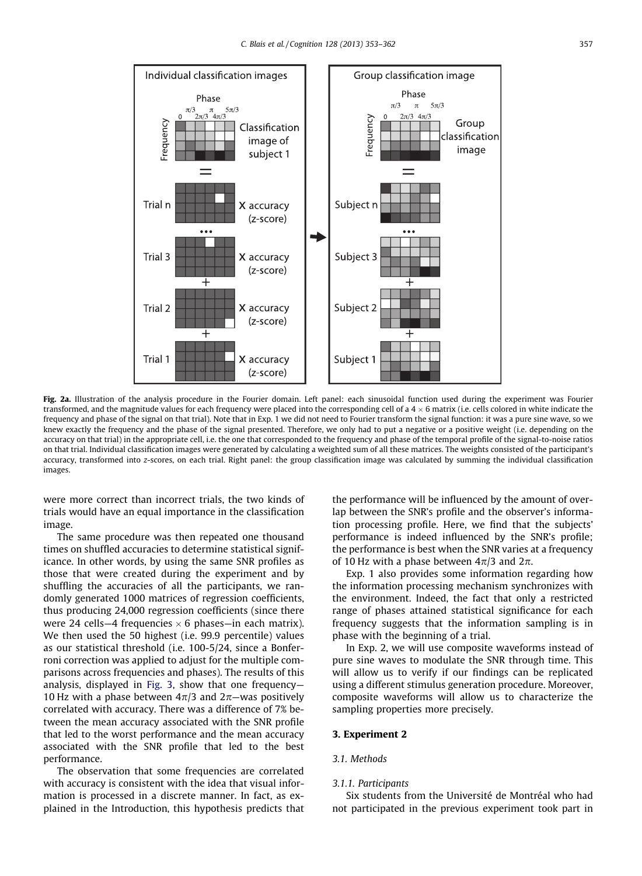<span id="page-4-0"></span>

Fig. 2a. Illustration of the analysis procedure in the Fourier domain. Left panel: each sinusoidal function used during the experiment was Fourier transformed, and the magnitude values for each frequency were placed into the corresponding cell of a 4  $\times$  6 matrix (i.e. cells colored in white indicate the frequency and phase of the signal on that trial). Note that in Exp. 1 we did not need to Fourier transform the signal function: it was a pure sine wave, so we knew exactly the frequency and the phase of the signal presented. Therefore, we only had to put a negative or a positive weight (i.e. depending on the accuracy on that trial) in the appropriate cell, i.e. the one that corresponded to the frequency and phase of the temporal profile of the signal-to-noise ratios on that trial. Individual classification images were generated by calculating a weighted sum of all these matrices. The weights consisted of the participant's accuracy, transformed into z-scores, on each trial. Right panel: the group classification image was calculated by summing the individual classification images.

were more correct than incorrect trials, the two kinds of trials would have an equal importance in the classification image.

The same procedure was then repeated one thousand times on shuffled accuracies to determine statistical significance. In other words, by using the same SNR profiles as those that were created during the experiment and by shuffling the accuracies of all the participants, we randomly generated 1000 matrices of regression coefficients, thus producing 24,000 regression coefficients (since there were 24 cells—4 frequencies  $\times$  6 phases—in each matrix). We then used the 50 highest (i.e. 99.9 percentile) values as our statistical threshold (i.e. 100-5/24, since a Bonferroni correction was applied to adjust for the multiple comparisons across frequencies and phases). The results of this analysis, displayed in [Fig. 3](#page-5-0), show that one frequency— 10 Hz with a phase between  $4\pi/3$  and  $2\pi$ —was positively correlated with accuracy. There was a difference of 7% between the mean accuracy associated with the SNR profile that led to the worst performance and the mean accuracy associated with the SNR profile that led to the best performance.

The observation that some frequencies are correlated with accuracy is consistent with the idea that visual information is processed in a discrete manner. In fact, as explained in the Introduction, this hypothesis predicts that

the performance will be influenced by the amount of overlap between the SNR's profile and the observer's information processing profile. Here, we find that the subjects' performance is indeed influenced by the SNR's profile; the performance is best when the SNR varies at a frequency of 10 Hz with a phase between  $4\pi/3$  and  $2\pi$ .

Exp. 1 also provides some information regarding how the information processing mechanism synchronizes with the environment. Indeed, the fact that only a restricted range of phases attained statistical significance for each frequency suggests that the information sampling is in phase with the beginning of a trial.

In Exp. 2, we will use composite waveforms instead of pure sine waves to modulate the SNR through time. This will allow us to verify if our findings can be replicated using a different stimulus generation procedure. Moreover, composite waveforms will allow us to characterize the sampling properties more precisely.

## 3. Experiment 2

#### 3.1. Methods

#### 3.1.1. Participants

Six students from the Université de Montréal who had not participated in the previous experiment took part in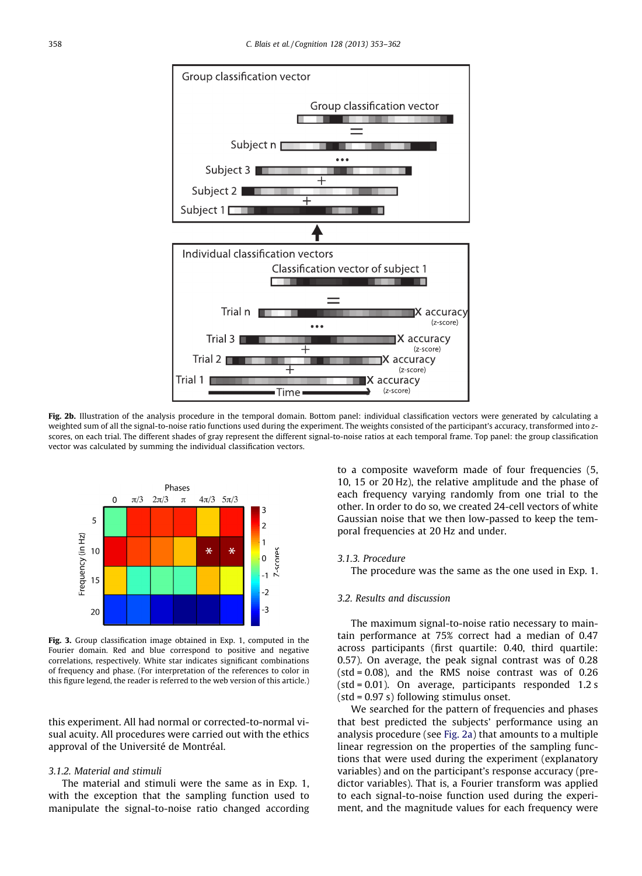<span id="page-5-0"></span>

Fig. 2b. Illustration of the analysis procedure in the temporal domain. Bottom panel: individual classification vectors were generated by calculating a weighted sum of all the signal-to-noise ratio functions used during the experiment. The weights consisted of the participant's accuracy, transformed into zscores, on each trial. The different shades of gray represent the different signal-to-noise ratios at each temporal frame. Top panel: the group classification vector was calculated by summing the individual classification vectors.



Fig. 3. Group classification image obtained in Exp. 1, computed in the Fourier domain. Red and blue correspond to positive and negative correlations, respectively. White star indicates significant combinations of frequency and phase. (For interpretation of the references to color in this figure legend, the reader is referred to the web version of this article.)

this experiment. All had normal or corrected-to-normal visual acuity. All procedures were carried out with the ethics approval of the Université de Montréal.

#### 3.1.2. Material and stimuli

The material and stimuli were the same as in Exp. 1, with the exception that the sampling function used to manipulate the signal-to-noise ratio changed according to a composite waveform made of four frequencies (5, 10, 15 or 20 Hz), the relative amplitude and the phase of each frequency varying randomly from one trial to the other. In order to do so, we created 24-cell vectors of white Gaussian noise that we then low-passed to keep the temporal frequencies at 20 Hz and under.

#### 3.1.3. Procedure

The procedure was the same as the one used in Exp. 1.

#### 3.2. Results and discussion

The maximum signal-to-noise ratio necessary to maintain performance at 75% correct had a median of 0.47 across participants (first quartile: 0.40, third quartile: 0.57). On average, the peak signal contrast was of 0.28  $(std = 0.08)$ , and the RMS noise contrast was of 0.26 (std = 0.01). On average, participants responded 1.2 s (std = 0.97 s) following stimulus onset.

We searched for the pattern of frequencies and phases that best predicted the subjects' performance using an analysis procedure (see [Fig. 2a\)](#page-4-0) that amounts to a multiple linear regression on the properties of the sampling functions that were used during the experiment (explanatory variables) and on the participant's response accuracy (predictor variables). That is, a Fourier transform was applied to each signal-to-noise function used during the experiment, and the magnitude values for each frequency were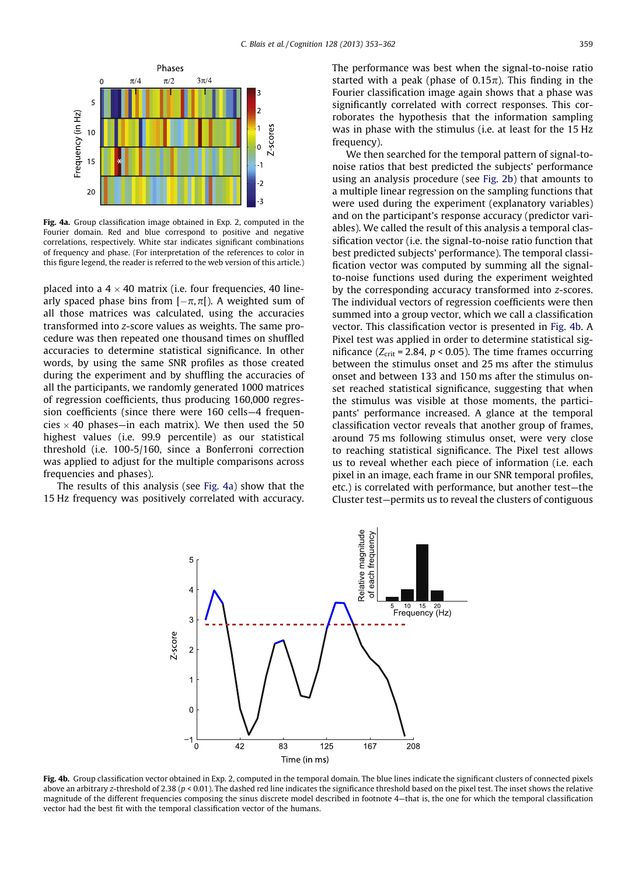<span id="page-6-0"></span>

Fig. 4a. Group classification image obtained in Exp. 2, computed in the Fourier domain. Red and blue correspond to positive and negative correlations, respectively. White star indicates significant combinations of frequency and phase. (For interpretation of the references to color in this figure legend, the reader is referred to the web version of this article.)

placed into a 4  $\times$  40 matrix (i.e. four frequencies, 40 linearly spaced phase bins from  $[-\pi,\pi]$ ). A weighted sum of all those matrices was calculated, using the accuracies transformed into z-score values as weights. The same procedure was then repeated one thousand times on shuffled accuracies to determine statistical significance. In other words, by using the same SNR profiles as those created during the experiment and by shuffling the accuracies of all the participants, we randomly generated 1000 matrices of regression coefficients, thus producing 160,000 regression coefficients (since there were 160 cells—4 frequencies  $\times$  40 phases—in each matrix). We then used the 50 highest values (i.e. 99.9 percentile) as our statistical threshold (i.e. 100-5/160, since a Bonferroni correction was applied to adjust for the multiple comparisons across frequencies and phases).

The results of this analysis (see Fig. 4a) show that the 15 Hz frequency was positively correlated with accuracy. The performance was best when the signal-to-noise ratio started with a peak (phase of  $0.15\pi$ ). This finding in the Fourier classification image again shows that a phase was significantly correlated with correct responses. This corroborates the hypothesis that the information sampling was in phase with the stimulus (i.e. at least for the 15 Hz frequency).

We then searched for the temporal pattern of signal-tonoise ratios that best predicted the subjects' performance using an analysis procedure (see [Fig. 2b](#page-5-0)) that amounts to a multiple linear regression on the sampling functions that were used during the experiment (explanatory variables) and on the participant's response accuracy (predictor variables). We called the result of this analysis a temporal classification vector (i.e. the signal-to-noise ratio function that best predicted subjects' performance). The temporal classification vector was computed by summing all the signalto-noise functions used during the experiment weighted by the corresponding accuracy transformed into z-scores. The individual vectors of regression coefficients were then summed into a group vector, which we call a classification vector. This classification vector is presented in Fig. 4b. A Pixel test was applied in order to determine statistical significance ( $Z_{\text{crit}}$  = 2.84,  $p$  < 0.05). The time frames occurring between the stimulus onset and 25 ms after the stimulus onset and between 133 and 150 ms after the stimulus onset reached statistical significance, suggesting that when the stimulus was visible at those moments, the participants' performance increased. A glance at the temporal classification vector reveals that another group of frames, around 75 ms following stimulus onset, were very close to reaching statistical significance. The Pixel test allows us to reveal whether each piece of information (i.e. each pixel in an image, each frame in our SNR temporal profiles, etc.) is correlated with performance, but another test—the Cluster test—permits us to reveal the clusters of contiguous



Fig. 4b. Group classification vector obtained in Exp. 2, computed in the temporal domain. The blue lines indicate the significant clusters of connected pixels above an arbitrary z-threshold of 2.38 ( $p < 0.01$ ). The dashed red line indicates the significance threshold based on the pixel test. The inset shows the relative magnitude of the different frequencies composing the sinus discrete model described in footnote 4—that is, the one for which the temporal classification vector had the best fit with the temporal classification vector of the humans.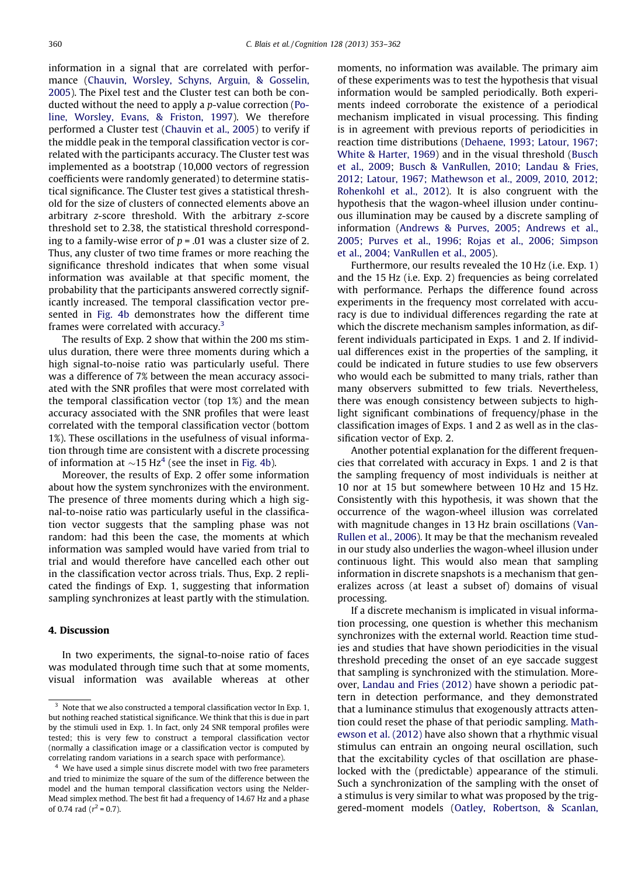information in a signal that are correlated with performance ([Chauvin, Worsley, Schyns, Arguin, & Gosselin,](#page-8-0) [2005](#page-8-0)). The Pixel test and the Cluster test can both be conducted without the need to apply a p-value correction ([Po](#page-9-0)[line, Worsley, Evans, & Friston, 1997\)](#page-9-0). We therefore performed a Cluster test [\(Chauvin et al., 2005](#page-8-0)) to verify if the middle peak in the temporal classification vector is correlated with the participants accuracy. The Cluster test was implemented as a bootstrap (10,000 vectors of regression coefficients were randomly generated) to determine statistical significance. The Cluster test gives a statistical threshold for the size of clusters of connected elements above an arbitrary z-score threshold. With the arbitrary z-score threshold set to 2.38, the statistical threshold corresponding to a family-wise error of  $p = .01$  was a cluster size of 2. Thus, any cluster of two time frames or more reaching the significance threshold indicates that when some visual information was available at that specific moment, the probability that the participants answered correctly significantly increased. The temporal classification vector presented in [Fig. 4b](#page-6-0) demonstrates how the different time frames were correlated with accuracy.3

The results of Exp. 2 show that within the 200 ms stimulus duration, there were three moments during which a high signal-to-noise ratio was particularly useful. There was a difference of 7% between the mean accuracy associated with the SNR profiles that were most correlated with the temporal classification vector (top 1%) and the mean accuracy associated with the SNR profiles that were least correlated with the temporal classification vector (bottom 1%). These oscillations in the usefulness of visual information through time are consistent with a discrete processing of information at  $\sim$ 15 Hz<sup>4</sup> (see the inset in [Fig. 4b\)](#page-6-0).

Moreover, the results of Exp. 2 offer some information about how the system synchronizes with the environment. The presence of three moments during which a high signal-to-noise ratio was particularly useful in the classification vector suggests that the sampling phase was not random: had this been the case, the moments at which information was sampled would have varied from trial to trial and would therefore have cancelled each other out in the classification vector across trials. Thus, Exp. 2 replicated the findings of Exp. 1, suggesting that information sampling synchronizes at least partly with the stimulation.

## 4. Discussion

In two experiments, the signal-to-noise ratio of faces was modulated through time such that at some moments, visual information was available whereas at other

moments, no information was available. The primary aim of these experiments was to test the hypothesis that visual information would be sampled periodically. Both experiments indeed corroborate the existence of a periodical mechanism implicated in visual processing. This finding is in agreement with previous reports of periodicities in reaction time distributions [\(Dehaene, 1993; Latour, 1967;](#page-8-0) [White & Harter, 1969](#page-8-0)) and in the visual threshold [\(Busch](#page-8-0) [et al., 2009](#page-8-0); [Busch & VanRullen, 2010; Landau & Fries,](#page-8-0) [2012; Latour, 1967; Mathewson et al., 2009, 2010, 2012;](#page-8-0) [Rohenkohl et al., 2012](#page-8-0)). It is also congruent with the hypothesis that the wagon-wheel illusion under continuous illumination may be caused by a discrete sampling of information [\(Andrews & Purves, 2005; Andrews et al.,](#page-8-0) [2005; Purves et al., 1996; Rojas et al., 2006; Simpson](#page-8-0) [et al., 2004; VanRullen et al., 2005](#page-8-0)).

Furthermore, our results revealed the 10 Hz (i.e. Exp. 1) and the 15 Hz (i.e. Exp. 2) frequencies as being correlated with performance. Perhaps the difference found across experiments in the frequency most correlated with accuracy is due to individual differences regarding the rate at which the discrete mechanism samples information, as different individuals participated in Exps. 1 and 2. If individual differences exist in the properties of the sampling, it could be indicated in future studies to use few observers who would each be submitted to many trials, rather than many observers submitted to few trials. Nevertheless, there was enough consistency between subjects to highlight significant combinations of frequency/phase in the classification images of Exps. 1 and 2 as well as in the classification vector of Exp. 2.

Another potential explanation for the different frequencies that correlated with accuracy in Exps. 1 and 2 is that the sampling frequency of most individuals is neither at 10 nor at 15 but somewhere between 10 Hz and 15 Hz. Consistently with this hypothesis, it was shown that the occurrence of the wagon-wheel illusion was correlated with magnitude changes in 13 Hz brain oscillations [\(Van-](#page-9-0)[Rullen et al., 2006](#page-9-0)). It may be that the mechanism revealed in our study also underlies the wagon-wheel illusion under continuous light. This would also mean that sampling information in discrete snapshots is a mechanism that generalizes across (at least a subset of) domains of visual processing.

If a discrete mechanism is implicated in visual information processing, one question is whether this mechanism synchronizes with the external world. Reaction time studies and studies that have shown periodicities in the visual threshold preceding the onset of an eye saccade suggest that sampling is synchronized with the stimulation. Moreover, [Landau and Fries \(2012\)](#page-9-0) have shown a periodic pattern in detection performance, and they demonstrated that a luminance stimulus that exogenously attracts attention could reset the phase of that periodic sampling. [Math](#page-9-0)[ewson et al. \(2012\)](#page-9-0) have also shown that a rhythmic visual stimulus can entrain an ongoing neural oscillation, such that the excitability cycles of that oscillation are phaselocked with the (predictable) appearance of the stimuli. Such a synchronization of the sampling with the onset of a stimulus is very similar to what was proposed by the triggered-moment models ([Oatley, Robertson, & Scanlan,](#page-9-0)

<sup>&</sup>lt;sup>3</sup> Note that we also constructed a temporal classification vector In Exp. 1, but nothing reached statistical significance. We think that this is due in part by the stimuli used in Exp. 1. In fact, only 24 SNR temporal profiles were tested; this is very few to construct a temporal classification vector (normally a classification image or a classification vector is computed by correlating random variations in a search space with performance).

<sup>&</sup>lt;sup>4</sup> We have used a simple sinus discrete model with two free parameters and tried to minimize the square of the sum of the difference between the model and the human temporal classification vectors using the Nelder-Mead simplex method. The best fit had a frequency of 14.67 Hz and a phase of 0.74 rad ( $r^2$  = 0.7).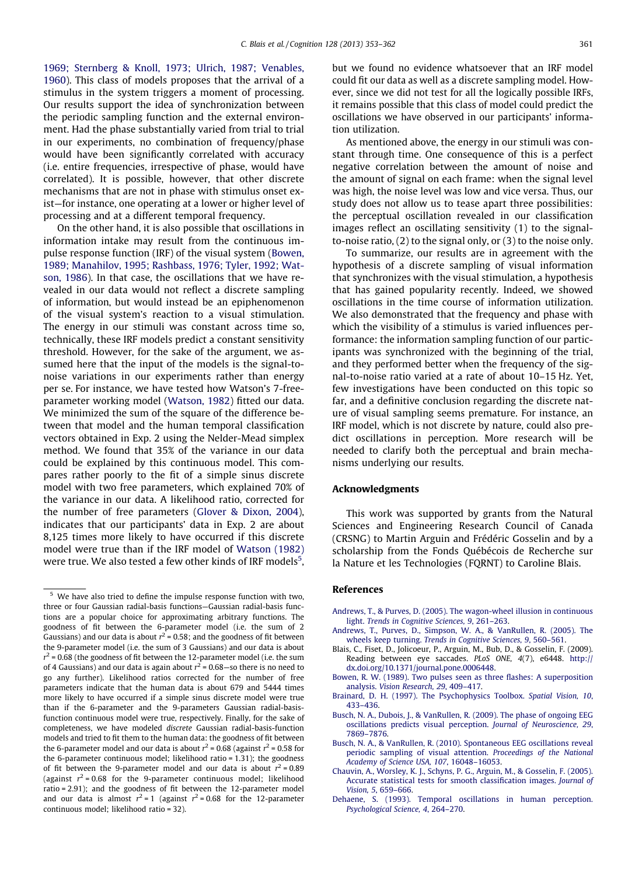<span id="page-8-0"></span>[1969; Sternberg & Knoll, 1973; Ulrich, 1987; Venables,](#page-9-0) [1960\)](#page-9-0). This class of models proposes that the arrival of a stimulus in the system triggers a moment of processing. Our results support the idea of synchronization between the periodic sampling function and the external environment. Had the phase substantially varied from trial to trial in our experiments, no combination of frequency/phase would have been significantly correlated with accuracy (i.e. entire frequencies, irrespective of phase, would have correlated). It is possible, however, that other discrete mechanisms that are not in phase with stimulus onset exist—for instance, one operating at a lower or higher level of processing and at a different temporal frequency.

On the other hand, it is also possible that oscillations in information intake may result from the continuous impulse response function (IRF) of the visual system (Bowen, 1989; Manahilov, 1995; Rashbass, 1976; Tyler, 1992; Watson, 1986). In that case, the oscillations that we have revealed in our data would not reflect a discrete sampling of information, but would instead be an epiphenomenon of the visual system's reaction to a visual stimulation. The energy in our stimuli was constant across time so, technically, these IRF models predict a constant sensitivity threshold. However, for the sake of the argument, we assumed here that the input of the models is the signal-tonoise variations in our experiments rather than energy per se. For instance, we have tested how Watson's 7-freeparameter working model [\(Watson, 1982](#page-9-0)) fitted our data. We minimized the sum of the square of the difference between that model and the human temporal classification vectors obtained in Exp. 2 using the Nelder-Mead simplex method. We found that 35% of the variance in our data could be explained by this continuous model. This compares rather poorly to the fit of a simple sinus discrete model with two free parameters, which explained 70% of the variance in our data. A likelihood ratio, corrected for the number of free parameters [\(Glover & Dixon, 2004](#page-9-0)), indicates that our participants' data in Exp. 2 are about 8,125 times more likely to have occurred if this discrete model were true than if the IRF model of [Watson \(1982\)](#page-9-0) were true. We also tested a few other kinds of IRF models $^5$ ,

but we found no evidence whatsoever that an IRF model could fit our data as well as a discrete sampling model. However, since we did not test for all the logically possible IRFs, it remains possible that this class of model could predict the oscillations we have observed in our participants' information utilization.

As mentioned above, the energy in our stimuli was constant through time. One consequence of this is a perfect negative correlation between the amount of noise and the amount of signal on each frame: when the signal level was high, the noise level was low and vice versa. Thus, our study does not allow us to tease apart three possibilities: the perceptual oscillation revealed in our classification images reflect an oscillating sensitivity (1) to the signalto-noise ratio, (2) to the signal only, or (3) to the noise only.

To summarize, our results are in agreement with the hypothesis of a discrete sampling of visual information that synchronizes with the visual stimulation, a hypothesis that has gained popularity recently. Indeed, we showed oscillations in the time course of information utilization. We also demonstrated that the frequency and phase with which the visibility of a stimulus is varied influences performance: the information sampling function of our participants was synchronized with the beginning of the trial, and they performed better when the frequency of the signal-to-noise ratio varied at a rate of about 10–15 Hz. Yet, few investigations have been conducted on this topic so far, and a definitive conclusion regarding the discrete nature of visual sampling seems premature. For instance, an IRF model, which is not discrete by nature, could also predict oscillations in perception. More research will be needed to clarify both the perceptual and brain mechanisms underlying our results.

#### Acknowledgments

This work was supported by grants from the Natural Sciences and Engineering Research Council of Canada (CRSNG) to Martin Arguin and Frédéric Gosselin and by a scholarship from the Fonds Québécois de Recherche sur la Nature et les Technologies (FQRNT) to Caroline Blais.

## References

- [Andrews, T., & Purves, D. \(2005\). The wagon-wheel illusion in continuous](http://refhub.elsevier.com/S0010-0277(13)00090-5/h0005) light. [Trends in Cognitive Sciences, 9](http://refhub.elsevier.com/S0010-0277(13)00090-5/h0005), 261–263.
- [Andrews, T., Purves, D., Simpson, W. A., & VanRullen, R. \(2005\). The](http://refhub.elsevier.com/S0010-0277(13)00090-5/h0010) wheels keep turning. [Trends in Cognitive Sciences, 9](http://refhub.elsevier.com/S0010-0277(13)00090-5/h0010), 560–561.
- Blais, C., Fiset, D., Jolicoeur, P., Arguin, M., Bub, D., & Gosselin, F. (2009). Reading between eye saccades. PLoS ONE, 4(7), e6448. http:// dx.doi.org[/10.1371/journal.pone.0006448](http://dx.doi.org/10.1371/journal.pone.0006448).
- [Bowen, R. W. \(1989\). Two pulses seen as three flashes: A superposition](http://refhub.elsevier.com/S0010-0277(13)00090-5/h0020) analysis. [Vision Research, 29](http://refhub.elsevier.com/S0010-0277(13)00090-5/h0020), 409–417.
- [Brainard, D. H. \(1997\). The Psychophysics Toolbox.](http://refhub.elsevier.com/S0010-0277(13)00090-5/h0025) Spatial Vision, 10, [433–436.](http://refhub.elsevier.com/S0010-0277(13)00090-5/h0025)
- [Busch, N. A., Dubois, J., & VanRullen, R. \(2009\). The phase of ongoing EEG](http://refhub.elsevier.com/S0010-0277(13)00090-5/h0030) [oscillations predicts visual perception.](http://refhub.elsevier.com/S0010-0277(13)00090-5/h0030) Journal of Neuroscience, 29, [7869–7876](http://refhub.elsevier.com/S0010-0277(13)00090-5/h0030).
- [Busch, N. A., & VanRullen, R. \(2010\). Spontaneous EEG oscillations reveal](http://refhub.elsevier.com/S0010-0277(13)00090-5/h0035) [periodic sampling of visual attention.](http://refhub.elsevier.com/S0010-0277(13)00090-5/h0035) Proceedings of the National [Academy of Science USA, 107](http://refhub.elsevier.com/S0010-0277(13)00090-5/h0035), 16048–16053.
- [Chauvin, A., Worsley, K. J., Schyns, P. G., Arguin, M., & Gosselin, F. \(2005\).](http://refhub.elsevier.com/S0010-0277(13)00090-5/h0040) [Accurate statistical tests for smooth classification images.](http://refhub.elsevier.com/S0010-0277(13)00090-5/h0040) Journal of Vision, 5[, 659–666](http://refhub.elsevier.com/S0010-0277(13)00090-5/h0040).
- [Dehaene, S. \(1993\). Temporal oscillations in human perception.](http://refhub.elsevier.com/S0010-0277(13)00090-5/h0045) [Psychological Science, 4](http://refhub.elsevier.com/S0010-0277(13)00090-5/h0045), 264–270.

<sup>5</sup> We have also tried to define the impulse response function with two, three or four Gaussian radial-basis functions—Gaussian radial-basis functions are a popular choice for approximating arbitrary functions. The goodness of fit between the 6-parameter model (i.e. the sum of 2 Gaussians) and our data is about  $r^2$  = 0.58; and the goodness of fit between the 9-parameter model (i.e. the sum of 3 Gaussians) and our data is about  $r^2$  = 0.68 (the goodness of fit between the 12-parameter model (i.e. the sum of 4 Gaussians) and our data is again about  $r^2$  = 0.68–so there is no need to go any further). Likelihood ratios corrected for the number of free parameters indicate that the human data is about 679 and 5444 times more likely to have occurred if a simple sinus discrete model were true than if the 6-parameter and the 9-parameters Gaussian radial-basisfunction continuous model were true, respectively. Finally, for the sake of completeness, we have modeled discrete Gaussian radial-basis-function models and tried to fit them to the human data: the goodness of fit between the 6-parameter model and our data is about  $r^2$  = 0.68 (against  $r^2$  = 0.58 for the 6-parameter continuous model; likelihood ratio = 1.31); the goodness of fit between the 9-parameter model and our data is about  $r^2 = 0.89$ (against  $r^2$  = 0.68 for the 9-parameter continuous model; likelihood ratio = 2.91); and the goodness of fit between the 12-parameter model and our data is almost  $r^2 = 1$  (against  $r^2 = 0.68$  for the 12-parameter continuous model; likelihood ratio = 32).